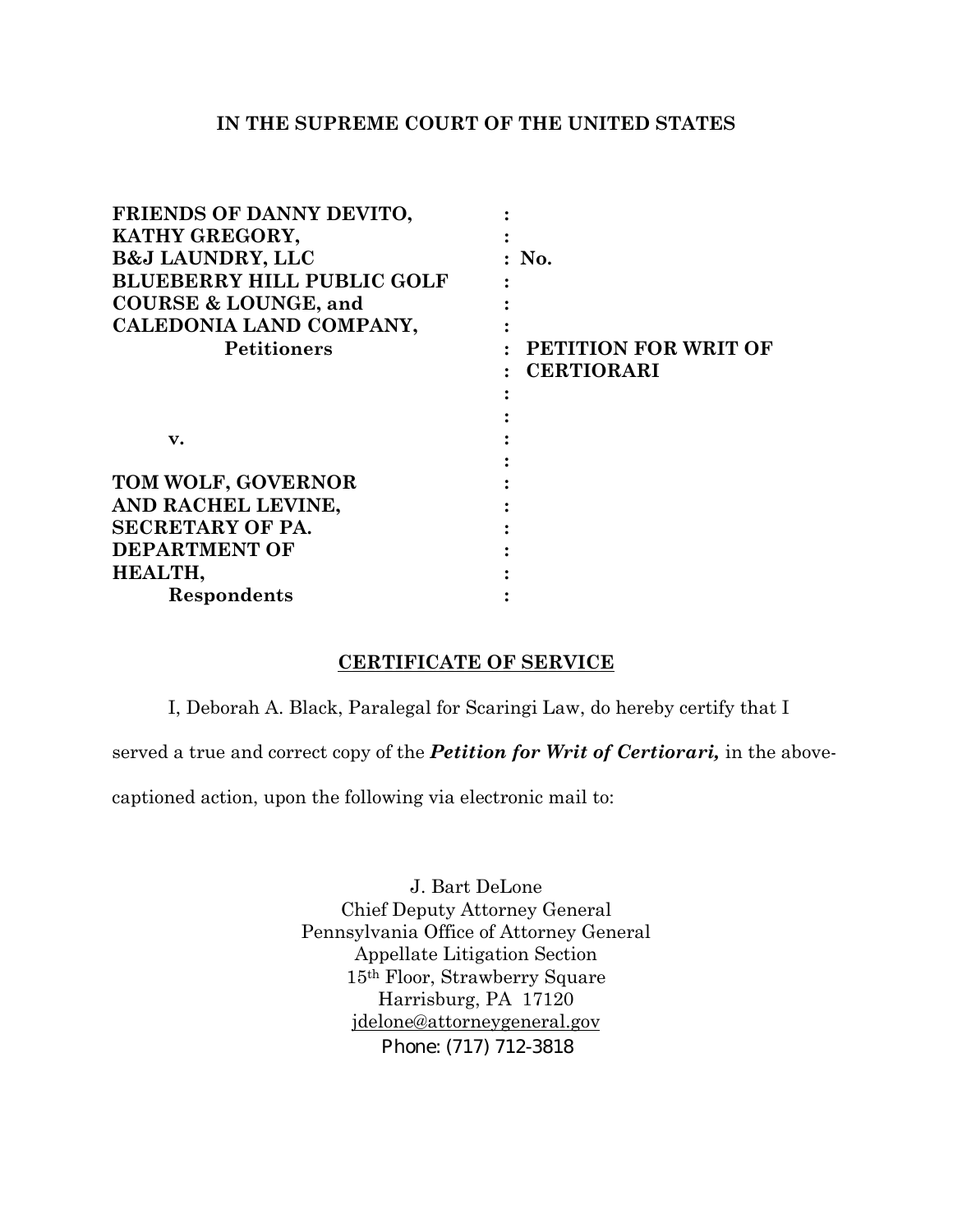## **IN THE SUPREME COURT OF THE UNITED STATES**

| FRIENDS OF DANNY DEVITO,          |                      |
|-----------------------------------|----------------------|
| KATHY GREGORY,                    |                      |
| <b>B&amp;J LAUNDRY, LLC</b>       | : No.                |
| <b>BLUEBERRY HILL PUBLIC GOLF</b> |                      |
| <b>COURSE &amp; LOUNGE, and</b>   |                      |
| CALEDONIA LAND COMPANY,           |                      |
| <b>Petitioners</b>                | PETITION FOR WRIT OF |
|                                   | <b>CERTIORARI</b>    |
|                                   |                      |
|                                   |                      |
| v.                                |                      |
|                                   |                      |
| TOM WOLF, GOVERNOR                |                      |
| AND RACHEL LEVINE,                |                      |
| <b>SECRETARY OF PA.</b>           |                      |
| <b>DEPARTMENT OF</b>              |                      |
| HEALTH,                           |                      |
| Respondents                       |                      |

## **CERTIFICATE OF SERVICE**

I, Deborah A. Black, Paralegal for Scaringi Law, do hereby certify that I

served a true and correct copy of the *Petition for Writ of Certiorari,* in the above-

captioned action, upon the following via electronic mail to:

J. Bart DeLone Chief Deputy Attorney General Pennsylvania Office of Attorney General Appellate Litigation Section 15th Floor, Strawberry Square Harrisburg, PA 17120 [jdelone@attorneygeneral.gov](mailto:jdelone@attorneygeneral.gov)  Phone: (717) 712-3818